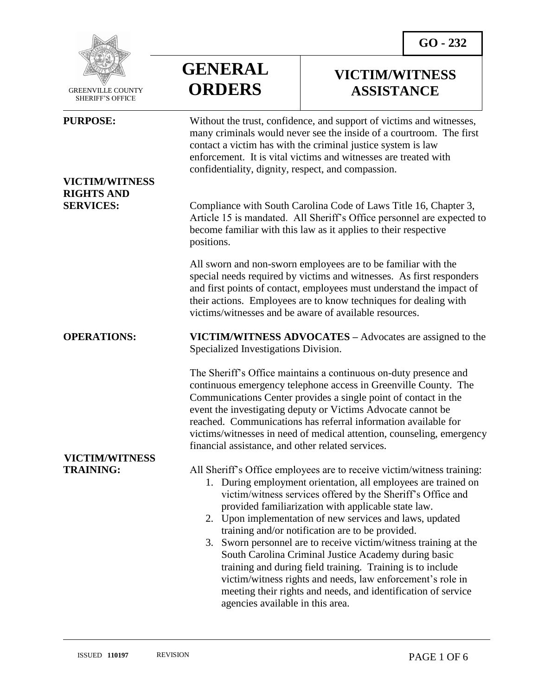

 GREENVILLE COUNTY SHERIFF'S OFFICE

 $\overline{a}$ 

## **VICTIM/WITNESS RIGHTS AND**

**VICTIM/WITNESS**

# **VICTIM/WITNESS ASSISTANCE**

**PURPOSE:** Without the trust, confidence, and support of victims and witnesses, many criminals would never see the inside of a courtroom. The first contact a victim has with the criminal justice system is law enforcement. It is vital victims and witnesses are treated with confidentiality, dignity, respect, and compassion.

**SERVICES:** Compliance with South Carolina Code of Laws Title 16, Chapter 3, Article 15 is mandated. All Sheriff's Office personnel are expected to become familiar with this law as it applies to their respective positions.

> All sworn and non-sworn employees are to be familiar with the special needs required by victims and witnesses. As first responders and first points of contact, employees must understand the impact of their actions. Employees are to know techniques for dealing with victims/witnesses and be aware of available resources.

### **OPERATIONS: VICTIM/WITNESS ADVOCATES –** Advocates are assigned to the Specialized Investigations Division.

**GENERAL**

**ORDERS**

The Sheriff's Office maintains a continuous on-duty presence and continuous emergency telephone access in Greenville County. The Communications Center provides a single point of contact in the event the investigating deputy or Victims Advocate cannot be reached. Communications has referral information available for victims/witnesses in need of medical attention, counseling, emergency financial assistance, and other related services.

**TRAINING:** All Sheriff's Office employees are to receive victim/witness training:

- 1. During employment orientation, all employees are trained on victim/witness services offered by the Sheriff's Office and provided familiarization with applicable state law.
- 2. Upon implementation of new services and laws, updated training and/or notification are to be provided.
- 3. Sworn personnel are to receive victim/witness training at the South Carolina Criminal Justice Academy during basic training and during field training. Training is to include victim/witness rights and needs, law enforcement's role in meeting their rights and needs, and identification of service agencies available in this area.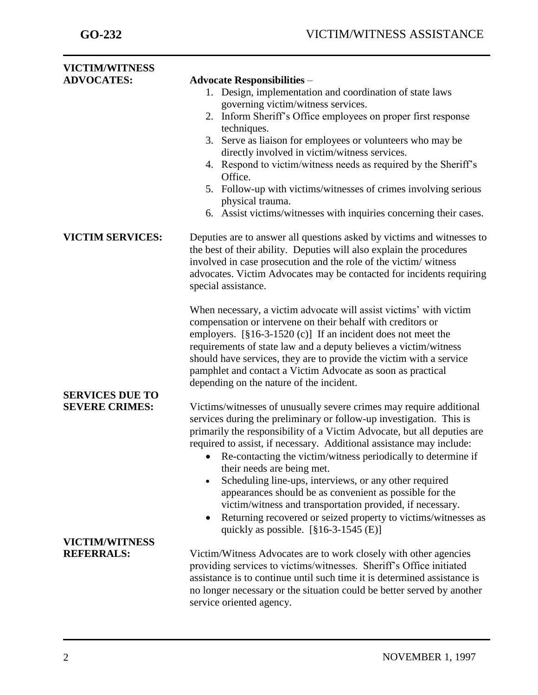| <b>VICTIM/WITNESS</b>   |                                                                                                                                          |
|-------------------------|------------------------------------------------------------------------------------------------------------------------------------------|
| <b>ADVOCATES:</b>       | <b>Advocate Responsibilities -</b>                                                                                                       |
|                         | 1. Design, implementation and coordination of state laws                                                                                 |
|                         | governing victim/witness services.                                                                                                       |
|                         | 2. Inform Sheriff's Office employees on proper first response                                                                            |
|                         | techniques.                                                                                                                              |
|                         | 3. Serve as liaison for employees or volunteers who may be                                                                               |
|                         | directly involved in victim/witness services.                                                                                            |
|                         | 4. Respond to victim/witness needs as required by the Sheriff's                                                                          |
|                         | Office.                                                                                                                                  |
|                         | 5. Follow-up with victims/witnesses of crimes involving serious                                                                          |
|                         | physical trauma.                                                                                                                         |
|                         | 6. Assist victims/witnesses with inquiries concerning their cases.                                                                       |
| <b>VICTIM SERVICES:</b> | Deputies are to answer all questions asked by victims and witnesses to                                                                   |
|                         | the best of their ability. Deputies will also explain the procedures                                                                     |
|                         | involved in case prosecution and the role of the victim/ witness<br>advocates. Victim Advocates may be contacted for incidents requiring |
|                         | special assistance.                                                                                                                      |
|                         |                                                                                                                                          |
|                         | When necessary, a victim advocate will assist victims' with victim                                                                       |
|                         | compensation or intervene on their behalf with creditors or                                                                              |
|                         | employers. $[\$16-3-1520(c)]$ If an incident does not meet the                                                                           |
|                         | requirements of state law and a deputy believes a victim/witness                                                                         |
|                         |                                                                                                                                          |
|                         | should have services, they are to provide the victim with a service                                                                      |
|                         | pamphlet and contact a Victim Advocate as soon as practical                                                                              |
|                         | depending on the nature of the incident.                                                                                                 |
| <b>SERVICES DUE TO</b>  |                                                                                                                                          |
| <b>SEVERE CRIMES:</b>   | Victims/witnesses of unusually severe crimes may require additional                                                                      |
|                         | services during the preliminary or follow-up investigation. This is                                                                      |
|                         | primarily the responsibility of a Victim Advocate, but all deputies are                                                                  |
|                         | required to assist, if necessary. Additional assistance may include:                                                                     |
|                         | Re-contacting the victim/witness periodically to determine if<br>$\bullet$                                                               |
|                         | their needs are being met.                                                                                                               |
|                         | Scheduling line-ups, interviews, or any other required<br>$\bullet$                                                                      |
|                         | appearances should be as convenient as possible for the                                                                                  |
|                         | victim/witness and transportation provided, if necessary.                                                                                |
|                         | Returning recovered or seized property to victims/witnesses as<br>$\bullet$                                                              |
|                         | quickly as possible. $[§16-3-1545(E)]$                                                                                                   |
| <b>VICTIM/WITNESS</b>   |                                                                                                                                          |
| <b>REFERRALS:</b>       | Victim/Witness Advocates are to work closely with other agencies                                                                         |
|                         | providing services to victims/witnesses. Sheriff's Office initiated                                                                      |
|                         | assistance is to continue until such time it is determined assistance is                                                                 |
|                         | no longer necessary or the situation could be better served by another                                                                   |
|                         | service oriented agency.                                                                                                                 |
|                         |                                                                                                                                          |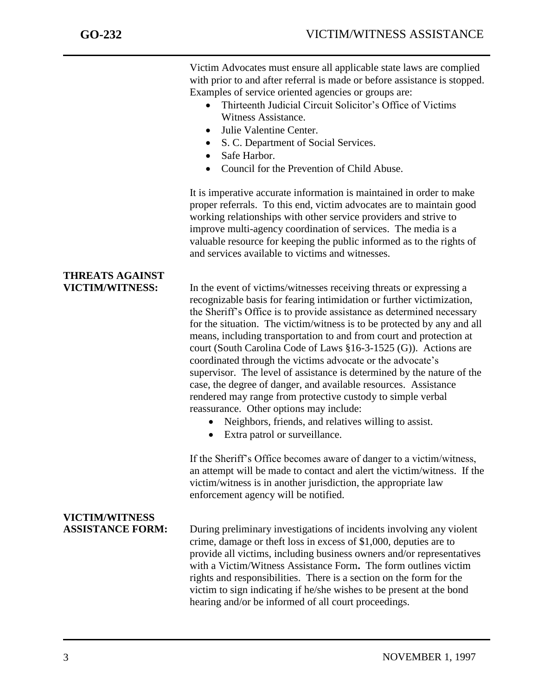j

Victim Advocates must ensure all applicable state laws are complied with prior to and after referral is made or before assistance is stopped. Examples of service oriented agencies or groups are:

- Thirteenth Judicial Circuit Solicitor's Office of Victims Witness Assistance.
- Julie Valentine Center.
- S. C. Department of Social Services.
- Safe Harbor.
- Council for the Prevention of Child Abuse.

It is imperative accurate information is maintained in order to make proper referrals. To this end, victim advocates are to maintain good working relationships with other service providers and strive to improve multi-agency coordination of services. The media is a valuable resource for keeping the public informed as to the rights of and services available to victims and witnesses.

# **THREATS AGAINST**

**VICTIM/WITNESS**

**VICTIM/WITNESS:** In the event of victims/witnesses receiving threats or expressing a recognizable basis for fearing intimidation or further victimization, the Sheriff's Office is to provide assistance as determined necessary for the situation. The victim/witness is to be protected by any and all means, including transportation to and from court and protection at court (South Carolina Code of Laws §16-3-1525 (G)). Actions are coordinated through the victims advocate or the advocate's supervisor. The level of assistance is determined by the nature of the case, the degree of danger, and available resources. Assistance rendered may range from protective custody to simple verbal reassurance. Other options may include:

- Neighbors, friends, and relatives willing to assist.
- Extra patrol or surveillance.

If the Sheriff's Office becomes aware of danger to a victim/witness, an attempt will be made to contact and alert the victim/witness. If the victim/witness is in another jurisdiction, the appropriate law enforcement agency will be notified.

**ASSISTANCE FORM:** During preliminary investigations of incidents involving any violent crime, damage or theft loss in excess of \$1,000, deputies are to provide all victims, including business owners and/or representatives with a Victim/Witness Assistance Form**.** The form outlines victim rights and responsibilities. There is a section on the form for the victim to sign indicating if he/she wishes to be present at the bond hearing and/or be informed of all court proceedings.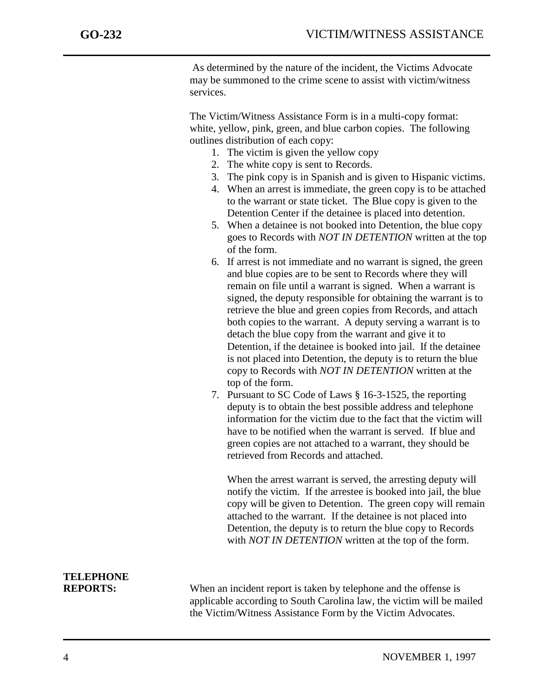j

As determined by the nature of the incident, the Victims Advocate may be summoned to the crime scene to assist with victim/witness services.

The Victim/Witness Assistance Form is in a multi-copy format: white, yellow, pink, green, and blue carbon copies. The following outlines distribution of each copy:

- 1. The victim is given the yellow copy
- 2. The white copy is sent to Records.
- 3. The pink copy is in Spanish and is given to Hispanic victims.
- 4. When an arrest is immediate, the green copy is to be attached to the warrant or state ticket. The Blue copy is given to the Detention Center if the detainee is placed into detention.
- 5. When a detainee is not booked into Detention, the blue copy goes to Records with *NOT IN DETENTION* written at the top of the form.
- 6. If arrest is not immediate and no warrant is signed, the green and blue copies are to be sent to Records where they will remain on file until a warrant is signed. When a warrant is signed, the deputy responsible for obtaining the warrant is to retrieve the blue and green copies from Records, and attach both copies to the warrant. A deputy serving a warrant is to detach the blue copy from the warrant and give it to Detention, if the detainee is booked into jail. If the detainee is not placed into Detention, the deputy is to return the blue copy to Records with *NOT IN DETENTION* written at the top of the form.
- 7. Pursuant to SC Code of Laws § 16-3-1525, the reporting deputy is to obtain the best possible address and telephone information for the victim due to the fact that the victim will have to be notified when the warrant is served. If blue and green copies are not attached to a warrant, they should be retrieved from Records and attached.

When the arrest warrant is served, the arresting deputy will notify the victim. If the arrestee is booked into jail, the blue copy will be given to Detention. The green copy will remain attached to the warrant. If the detainee is not placed into Detention, the deputy is to return the blue copy to Records with *NOT IN DETENTION* written at the top of the form.

# **TELEPHONE**

**REPORTS:** When an incident report is taken by telephone and the offense is applicable according to South Carolina law, the victim will be mailed the Victim/Witness Assistance Form by the Victim Advocates.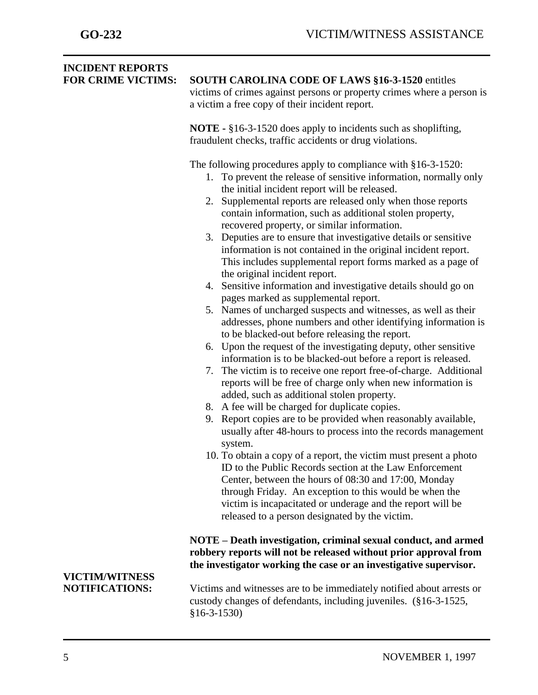| <b>INCIDENT REPORTS</b><br><b>FOR CRIME VICTIMS:</b> | <b>SOUTH CAROLINA CODE OF LAWS §16-3-1520 entitles</b><br>victims of crimes against persons or property crimes where a person is<br>a victim a free copy of their incident report.<br><b>NOTE</b> - §16-3-1520 does apply to incidents such as shoplifting,<br>fraudulent checks, traffic accidents or drug violations.                                                                                                                                                                                                                                                                                                                                                                                                                                                                                                                                                                                                                                                                                                                                                                                                                                                                                                                                                                                                                                                                                                                                                                                                                                                                                                                                                                                                                                                                                   |
|------------------------------------------------------|-----------------------------------------------------------------------------------------------------------------------------------------------------------------------------------------------------------------------------------------------------------------------------------------------------------------------------------------------------------------------------------------------------------------------------------------------------------------------------------------------------------------------------------------------------------------------------------------------------------------------------------------------------------------------------------------------------------------------------------------------------------------------------------------------------------------------------------------------------------------------------------------------------------------------------------------------------------------------------------------------------------------------------------------------------------------------------------------------------------------------------------------------------------------------------------------------------------------------------------------------------------------------------------------------------------------------------------------------------------------------------------------------------------------------------------------------------------------------------------------------------------------------------------------------------------------------------------------------------------------------------------------------------------------------------------------------------------------------------------------------------------------------------------------------------------|
|                                                      | The following procedures apply to compliance with $§16-3-1520$ :<br>1. To prevent the release of sensitive information, normally only<br>the initial incident report will be released.<br>2. Supplemental reports are released only when those reports<br>contain information, such as additional stolen property,<br>recovered property, or similar information.<br>3. Deputies are to ensure that investigative details or sensitive<br>information is not contained in the original incident report.<br>This includes supplemental report forms marked as a page of<br>the original incident report.<br>4. Sensitive information and investigative details should go on<br>pages marked as supplemental report.<br>Names of uncharged suspects and witnesses, as well as their<br>5.<br>addresses, phone numbers and other identifying information is<br>to be blacked-out before releasing the report.<br>6. Upon the request of the investigating deputy, other sensitive<br>information is to be blacked-out before a report is released.<br>The victim is to receive one report free-of-charge. Additional<br>7.<br>reports will be free of charge only when new information is<br>added, such as additional stolen property.<br>8. A fee will be charged for duplicate copies.<br>Report copies are to be provided when reasonably available,<br>9.<br>usually after 48-hours to process into the records management<br>system.<br>10. To obtain a copy of a report, the victim must present a photo<br>ID to the Public Records section at the Law Enforcement<br>Center, between the hours of 08:30 and 17:00, Monday<br>through Friday. An exception to this would be when the<br>victim is incapacitated or underage and the report will be<br>released to a person designated by the victim. |
|                                                      | NOTE - Death investigation, criminal sexual conduct, and armed<br>robbery reports will not be released without prior approval from<br>the investigator working the case or an investigative supervisor.                                                                                                                                                                                                                                                                                                                                                                                                                                                                                                                                                                                                                                                                                                                                                                                                                                                                                                                                                                                                                                                                                                                                                                                                                                                                                                                                                                                                                                                                                                                                                                                                   |
| <b>VICTIM/WITNESS</b><br><b>NOTIFICATIONS:</b>       | Victims and witnesses are to be immediately notified about arrests or<br>custody changes of defendants, including juveniles. (§16-3-1525,<br>$$16-3-1530)$                                                                                                                                                                                                                                                                                                                                                                                                                                                                                                                                                                                                                                                                                                                                                                                                                                                                                                                                                                                                                                                                                                                                                                                                                                                                                                                                                                                                                                                                                                                                                                                                                                                |